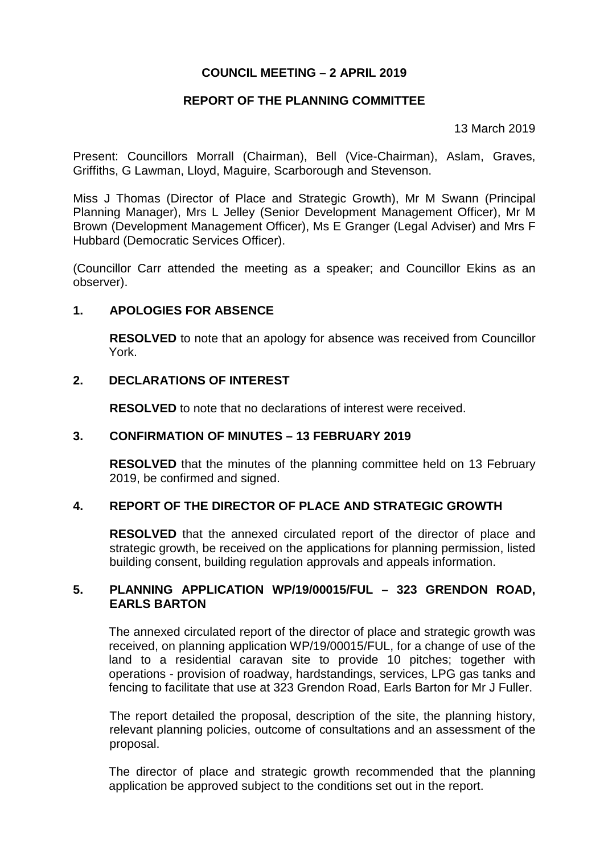# **COUNCIL MEETING – 2 APRIL 2019**

# **REPORT OF THE PLANNING COMMITTEE**

13 March 2019

Present: Councillors Morrall (Chairman), Bell (Vice-Chairman), Aslam, Graves, Griffiths, G Lawman, Lloyd, Maguire, Scarborough and Stevenson.

Miss J Thomas (Director of Place and Strategic Growth), Mr M Swann (Principal Planning Manager), Mrs L Jelley (Senior Development Management Officer), Mr M Brown (Development Management Officer), Ms E Granger (Legal Adviser) and Mrs F Hubbard (Democratic Services Officer).

(Councillor Carr attended the meeting as a speaker; and Councillor Ekins as an observer).

### **1. APOLOGIES FOR ABSENCE**

**RESOLVED** to note that an apology for absence was received from Councillor York.

#### **2. DECLARATIONS OF INTEREST**

**RESOLVED** to note that no declarations of interest were received.

### **3. CONFIRMATION OF MINUTES – 13 FEBRUARY 2019**

**RESOLVED** that the minutes of the planning committee held on 13 February 2019, be confirmed and signed.

### **4. REPORT OF THE DIRECTOR OF PLACE AND STRATEGIC GROWTH**

**RESOLVED** that the annexed circulated report of the director of place and strategic growth, be received on the applications for planning permission, listed building consent, building regulation approvals and appeals information.

### **5. PLANNING APPLICATION WP/19/00015/FUL – 323 GRENDON ROAD, EARLS BARTON**

The annexed circulated report of the director of place and strategic growth was received, on planning application WP/19/00015/FUL, for a change of use of the land to a residential caravan site to provide 10 pitches; together with operations - provision of roadway, hardstandings, services, LPG gas tanks and fencing to facilitate that use at 323 Grendon Road, Earls Barton for Mr J Fuller.

The report detailed the proposal, description of the site, the planning history, relevant planning policies, outcome of consultations and an assessment of the proposal.

The director of place and strategic growth recommended that the planning application be approved subject to the conditions set out in the report.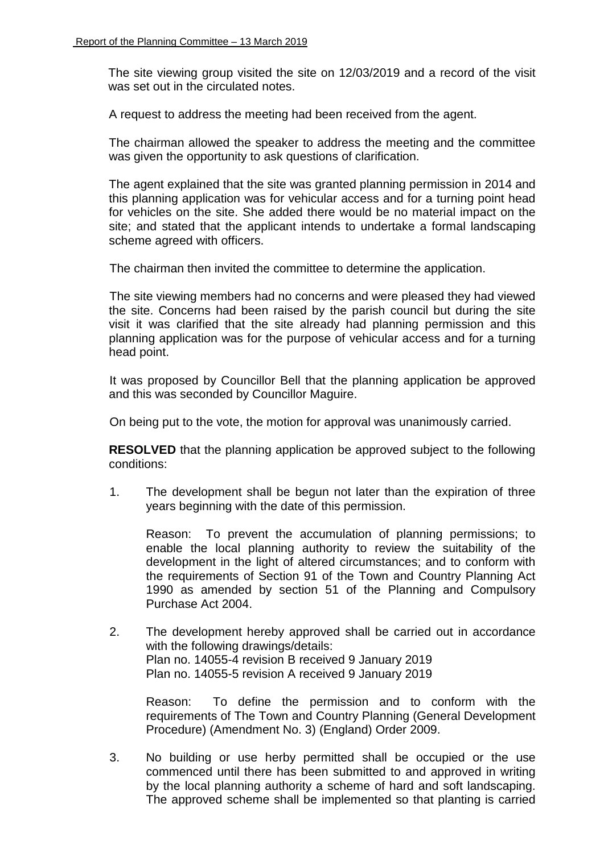The site viewing group visited the site on 12/03/2019 and a record of the visit was set out in the circulated notes.

A request to address the meeting had been received from the agent.

The chairman allowed the speaker to address the meeting and the committee was given the opportunity to ask questions of clarification.

The agent explained that the site was granted planning permission in 2014 and this planning application was for vehicular access and for a turning point head for vehicles on the site. She added there would be no material impact on the site; and stated that the applicant intends to undertake a formal landscaping scheme agreed with officers.

The chairman then invited the committee to determine the application.

The site viewing members had no concerns and were pleased they had viewed the site. Concerns had been raised by the parish council but during the site visit it was clarified that the site already had planning permission and this planning application was for the purpose of vehicular access and for a turning head point.

It was proposed by Councillor Bell that the planning application be approved and this was seconded by Councillor Maguire.

On being put to the vote, the motion for approval was unanimously carried.

**RESOLVED** that the planning application be approved subject to the following conditions:

1. The development shall be begun not later than the expiration of three years beginning with the date of this permission.

Reason: To prevent the accumulation of planning permissions; to enable the local planning authority to review the suitability of the development in the light of altered circumstances; and to conform with the requirements of Section 91 of the Town and Country Planning Act 1990 as amended by section 51 of the Planning and Compulsory Purchase Act 2004.

2. The development hereby approved shall be carried out in accordance with the following drawings/details: Plan no. 14055-4 revision B received 9 January 2019 Plan no. 14055-5 revision A received 9 January 2019

Reason: To define the permission and to conform with the requirements of The Town and Country Planning (General Development Procedure) (Amendment No. 3) (England) Order 2009.

3. No building or use herby permitted shall be occupied or the use commenced until there has been submitted to and approved in writing by the local planning authority a scheme of hard and soft landscaping. The approved scheme shall be implemented so that planting is carried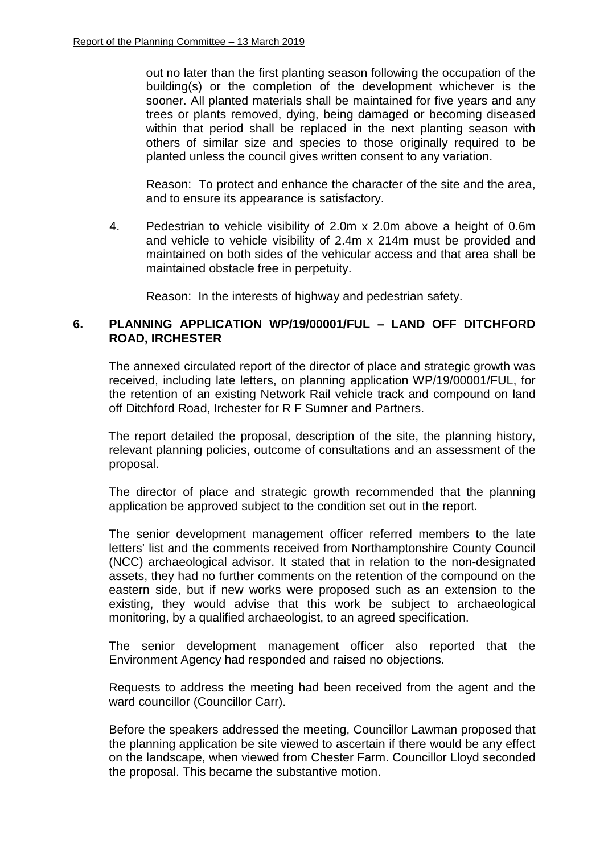out no later than the first planting season following the occupation of the building(s) or the completion of the development whichever is the sooner. All planted materials shall be maintained for five years and any trees or plants removed, dying, being damaged or becoming diseased within that period shall be replaced in the next planting season with others of similar size and species to those originally required to be planted unless the council gives written consent to any variation.

Reason: To protect and enhance the character of the site and the area, and to ensure its appearance is satisfactory.

4. Pedestrian to vehicle visibility of 2.0m x 2.0m above a height of 0.6m and vehicle to vehicle visibility of 2.4m x 214m must be provided and maintained on both sides of the vehicular access and that area shall be maintained obstacle free in perpetuity.

Reason: In the interests of highway and pedestrian safety.

# **6. PLANNING APPLICATION WP/19/00001/FUL – LAND OFF DITCHFORD ROAD, IRCHESTER**

The annexed circulated report of the director of place and strategic growth was received, including late letters, on planning application WP/19/00001/FUL, for the retention of an existing Network Rail vehicle track and compound on land off Ditchford Road, Irchester for R F Sumner and Partners.

The report detailed the proposal, description of the site, the planning history, relevant planning policies, outcome of consultations and an assessment of the proposal.

The director of place and strategic growth recommended that the planning application be approved subject to the condition set out in the report.

The senior development management officer referred members to the late letters' list and the comments received from Northamptonshire County Council (NCC) archaeological advisor. It stated that in relation to the non-designated assets, they had no further comments on the retention of the compound on the eastern side, but if new works were proposed such as an extension to the existing, they would advise that this work be subject to archaeological monitoring, by a qualified archaeologist, to an agreed specification.

The senior development management officer also reported that the Environment Agency had responded and raised no objections.

Requests to address the meeting had been received from the agent and the ward councillor (Councillor Carr).

Before the speakers addressed the meeting, Councillor Lawman proposed that the planning application be site viewed to ascertain if there would be any effect on the landscape, when viewed from Chester Farm. Councillor Lloyd seconded the proposal. This became the substantive motion.